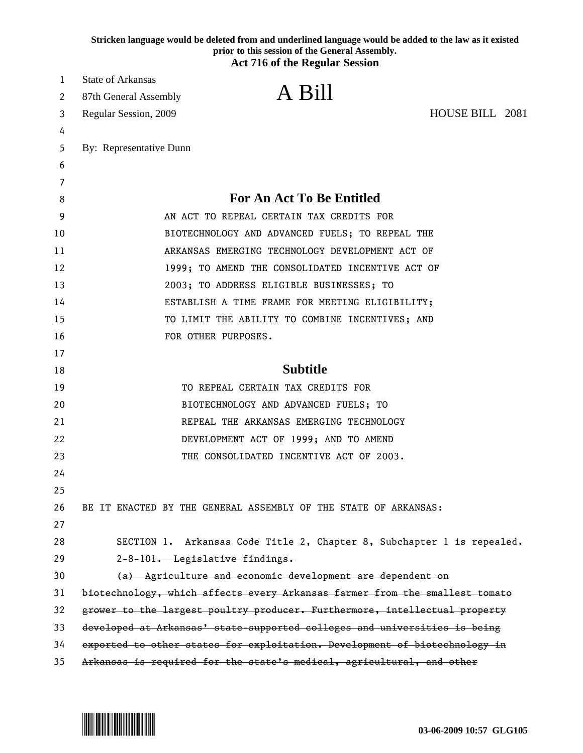|        | Stricken language would be deleted from and underlined language would be added to the law as it existed<br>prior to this session of the General Assembly. |
|--------|-----------------------------------------------------------------------------------------------------------------------------------------------------------|
|        | <b>Act 716 of the Regular Session</b>                                                                                                                     |
| 1      | <b>State of Arkansas</b>                                                                                                                                  |
| 2      | A Bill<br>87th General Assembly                                                                                                                           |
| 3      | HOUSE BILL 2081<br>Regular Session, 2009                                                                                                                  |
| 4      |                                                                                                                                                           |
| 5      | By: Representative Dunn                                                                                                                                   |
| 6      |                                                                                                                                                           |
| 7<br>8 | <b>For An Act To Be Entitled</b>                                                                                                                          |
| 9      | AN ACT TO REPEAL CERTAIN TAX CREDITS FOR                                                                                                                  |
| 10     | BIOTECHNOLOGY AND ADVANCED FUELS; TO REPEAL THE                                                                                                           |
| 11     | ARKANSAS EMERGING TECHNOLOGY DEVELOPMENT ACT OF                                                                                                           |
| 12     | 1999; TO AMEND THE CONSOLIDATED INCENTIVE ACT OF                                                                                                          |
| 13     | 2003; TO ADDRESS ELIGIBLE BUSINESSES; TO                                                                                                                  |
| 14     | ESTABLISH A TIME FRAME FOR MEETING ELIGIBILITY;                                                                                                           |
| 15     | TO LIMIT THE ABILITY TO COMBINE INCENTIVES; AND                                                                                                           |
| 16     | FOR OTHER PURPOSES.                                                                                                                                       |
| 17     |                                                                                                                                                           |
| 18     | <b>Subtitle</b>                                                                                                                                           |
| 19     | TO REPEAL CERTAIN TAX CREDITS FOR                                                                                                                         |
| 20     | BIOTECHNOLOGY AND ADVANCED FUELS; TO                                                                                                                      |
| 21     | REPEAL THE ARKANSAS EMERGING TECHNOLOGY                                                                                                                   |
| 22     | DEVELOPMENT ACT OF 1999; AND TO AMEND                                                                                                                     |
| 23     | THE CONSOLIDATED INCENTIVE ACT OF 2003.                                                                                                                   |
| 24     |                                                                                                                                                           |
| 25     |                                                                                                                                                           |
| 26     | BE IT ENACTED BY THE GENERAL ASSEMBLY OF THE STATE OF ARKANSAS:                                                                                           |
| 27     |                                                                                                                                                           |
| 28     | SECTION 1. Arkansas Code Title 2, Chapter 8, Subchapter 1 is repealed.                                                                                    |
| 29     | 2-8-101. Legislative findings.                                                                                                                            |
| 30     | (a) Agriculture and economic development are dependent on                                                                                                 |
| 31     | biotechnology, which affects every Arkansas farmer from the smallest tomato                                                                               |
| 32     | grower to the largest poultry producer. Furthermore, intellectual property                                                                                |
| 33     | developed at Arkansas' state-supported colleges and universities is being                                                                                 |
| 34     | exported to other states for exploitation. Development of biotechnology in                                                                                |
| 35     | Arkansas is required for the state's medical, agricultural, and other                                                                                     |

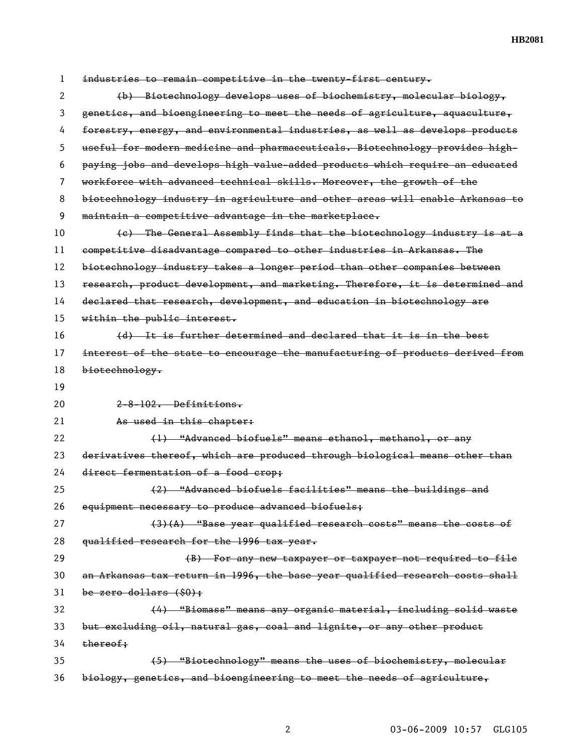| 1  | industries to remain competitive in the twenty-first century.                 |
|----|-------------------------------------------------------------------------------|
| 2  | (b) Biotechnology develops uses of biochemistry, molecular biology,           |
| 3  | genetics, and bioengineering to meet the needs of agriculture, aquaculture,   |
| 4  | forestry, energy, and environmental industries, as well as develops products  |
| 5  | useful for modern medicine and pharmaceuticals. Biotechnology provides high-  |
| 6  | paying jobs and develops high value added products which require an educated  |
| 7  | workforce with advanced technical skills. Moreover, the growth of the         |
| 8  | biotechnology industry in agriculture and other areas will enable Arkansas to |
| 9  | maintain a competitive advantage in the marketplace.                          |
| 10 | (e) The General Assembly finds that the biotechnology industry is at a        |
| 11 | competitive disadvantage compared to other industries in Arkansas. The        |
| 12 | biotechnology industry takes a longer period than other companies between     |
| 13 | research, product development, and marketing. Therefore, it is determined and |
| 14 | declared that research, development, and education in biotechnology are       |
| 15 | within the public interest.                                                   |
| 16 | (d) It is further determined and declared that it is in the best              |
| 17 | interest of the state to encourage the manufacturing of products derived from |
| 18 | biotechnology.                                                                |
|    |                                                                               |
| 19 |                                                                               |
| 20 | 2-8-102. Definitions.                                                         |
| 21 | As used in this chapter:                                                      |
| 22 | (1) "Advanced biofuels" means ethanol, methanol, or any                       |
| 23 | derivatives thereof, which are produced through biological means other than   |
| 24 | direct fermentation of a food crop;                                           |
| 25 | (2) "Advanced biofuels facilities" means the buildings and                    |
| 26 | equipment necessary to produce advanced biofuels;                             |
| 27 | $(3)$ (A) "Base year qualified research costs" means the costs of             |
| 28 | qualified research for the 1996 tax year.                                     |
| 29 | (B) For any new taxpayer or taxpayer not required to file                     |
| 30 | an Arkansas tax return in 1996, the base year qualified research costs shall  |
| 31 | be zero dollars $(\$0)$ ;                                                     |
| 32 | (4) "Biomass" means any organic material, including solid waste               |
| 33 | but excluding oil, natural gas, coal and lignite, or any other product        |
| 34 | thereof;                                                                      |
| 35 | (5) "Biotechnology" means the uses of biochemistry, molecular                 |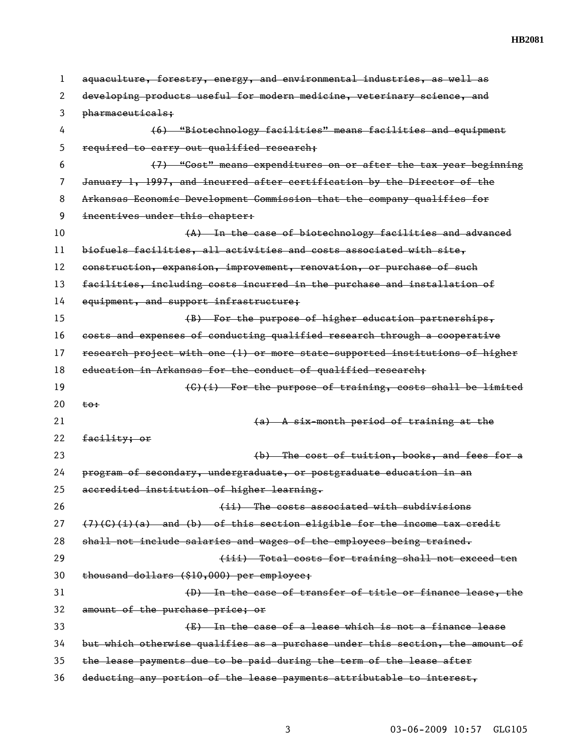| 1  | aquaculture, forestry, energy, and environmental industries, as well as       |
|----|-------------------------------------------------------------------------------|
| 2  | developing products useful for modern medicine, veterinary science, and       |
| 3  | pharmaceuticals;                                                              |
| 4  | (6) "Biotechnology facilities" means facilities and equipment                 |
| 5  | required to carry out qualified research;                                     |
| 6  | (7) "Cost" means expenditures on or after the tax year beginning              |
| 7  | January 1, 1997, and incurred after certification by the Director of the      |
| 8  | Arkansas Economic Development Commission that the company qualifies for       |
| 9  | incentives under this chapter:                                                |
| 10 | (A) In the case of biotechnology facilities and advanced                      |
| 11 | biofuels facilities, all activities and costs associated with site,           |
| 12 | construction, expansion, improvement, renovation, or purchase of such         |
| 13 | facilities, including costs incurred in the purchase and installation of      |
| 14 | equipment, and support infrastructure;                                        |
| 15 | (B) For the purpose of higher education partnerships,                         |
| 16 | costs and expenses of conducting qualified research through a cooperative     |
| 17 | research project with one (1) or more state supported institutions of higher  |
| 18 | education in Arkansas for the conduct of qualified research;                  |
| 19 | (C)(i) For the purpose of training, costs shall be limited                    |
| 20 | <del>to:</del>                                                                |
| 21 | (a) A six-month period of training at the                                     |
| 22 | facility; or                                                                  |
| 23 | (b) The cost of tuition, books, and fees for a                                |
| 24 | program of secondary, undergraduate, or postgraduate education in an          |
| 25 | accredited institution of higher learning.                                    |
| 26 | (ii) The costs associated with subdivisions                                   |
| 27 | $(7)(6)(i)(a)$ and (b) of this section eligible for the income tax credit     |
| 28 | shall not include salaries and wages of the employees being trained.          |
| 29 | (iii) Total costs for training shall not exceed ten                           |
| 30 | thousand dollars (\$10,000) per employee;                                     |
| 31 | (D) In the case of transfer of title or finance lease, the                    |
| 32 | amount of the purchase price; or                                              |
| 33 | (E) In the case of a lease which is not a finance lease                       |
| 34 | but which otherwise qualifies as a purchase under this section, the amount of |
| 35 | the lease payments due to be paid during the term of the lease after          |
| 36 | deducting any portion of the lease payments attributable to interest,         |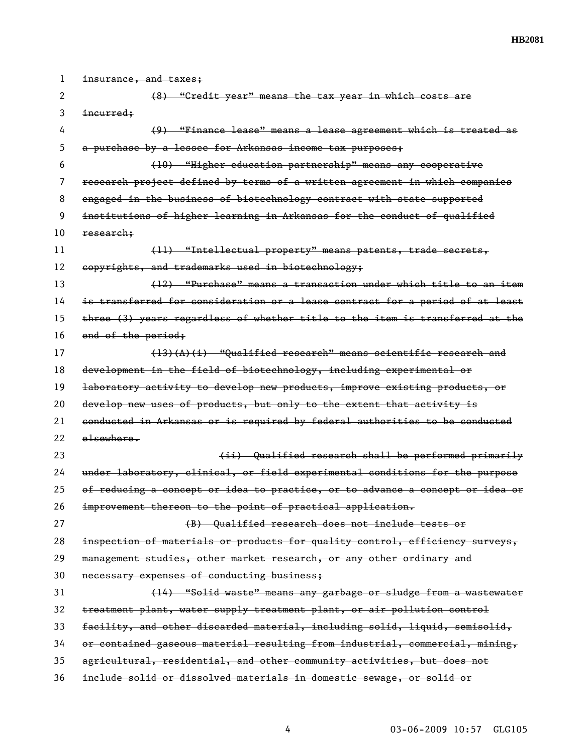| 1  | insurance, and taxes;                                                         |
|----|-------------------------------------------------------------------------------|
| 2  | (8) "Gredit year" means the tax year in which costs are                       |
| 3  | incurred;                                                                     |
| 4  | (9) "Finance lease" means a lease agreement which is treated as               |
| 5  | a purchase by a lessee for Arkansas income tax purposes;                      |
| 6  | (10) "Higher education partnership" means any cooperative                     |
| 7  | research project defined by terms of a written agreement in which companies   |
| 8  | engaged in the business of biotechnology contract with state-supported        |
| 9  | institutions of higher learning in Arkansas for the conduct of qualified      |
| 10 | research:                                                                     |
| 11 | (11) "Intellectual property" means patents, trade secrets,                    |
| 12 | copyrights, and trademarks used in biotechnology;                             |
| 13 | (12) "Purchase" means a transaction under which title to an item              |
| 14 | is transferred for consideration or a lease contract for a period of at least |
| 15 | three (3) years regardless of whether title to the item is transferred at the |
| 16 | end of the period;                                                            |
| 17 | $(13)(A)(i)$ "Qualified research" means scientific research and               |
| 18 | development in the field of biotechnology, including experimental or          |
| 19 | laboratory activity to develop new products, improve existing products, or    |
| 20 | develop new uses of products, but only to the extent that activity is         |
| 21 | conducted in Arkansas or is required by federal authorities to be conducted   |
| 22 | elsewhere.                                                                    |
| 23 | (ii) Qualified research shall be performed primarily                          |
| 24 | under laboratory, clinical, or field experimental conditions for the purpose  |
| 25 | of reducing a concept or idea to practice, or to advance a concept or idea or |
| 26 | improvement thereon to the point of practical application.                    |
| 27 | (B) Qualified research does not include tests or                              |
| 28 | inspection of materials or products for quality control, efficiency surveys,  |
| 29 | management studies, other market research, or any other ordinary and          |
| 30 | necessary expenses of conducting business;                                    |
| 31 | (14) "Solid waste" means any garbage or sludge from a wastewater              |
| 32 | treatment plant, water supply treatment plant, or air pollution control       |
| 33 | facility, and other discarded material, including solid, liquid, semisolid,   |
| 34 | or contained gaseous material resulting from industrial, commercial, mining,  |
| 35 | agricultural, residential, and other community activities, but does not       |
| 36 | include solid or dissolved materials in domestic sewage, or solid or          |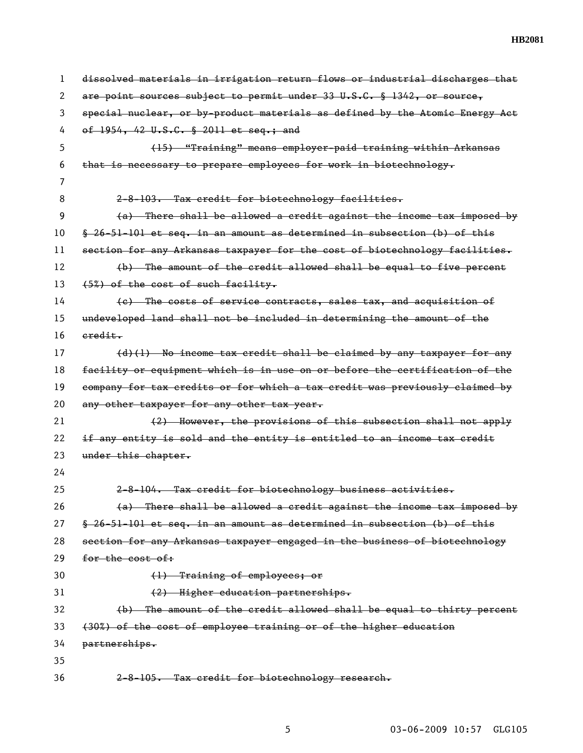| 1  | dissolved materials in irrigation return flows or industrial discharges that |
|----|------------------------------------------------------------------------------|
| 2  | are point sources subject to permit under 33 U.S.C. § 1342, or source,       |
| 3  | special nuclear, or by-product materials as defined by the Atomic Energy Act |
| 4  | of 1954, 42 U.S.C. § 2011 et seq.; and                                       |
| 5  | (15) "Training" means employer-paid training within Arkansas                 |
| 6  | that is necessary to prepare employees for work in biotechnology.            |
| 7  |                                                                              |
| 8  | 2-8-103. Tax credit for biotechnology facilities.                            |
| 9  | (a) There shall be allowed a credit against the income tax imposed by        |
| 10 | $$26-51-101$ et seq. in an amount as determined in subsection (b) of this    |
| 11 | section for any Arkansas taxpayer for the cost of biotechnology facilities.  |
| 12 | (b) The amount of the credit allowed shall be equal to five percent          |
| 13 | (5%) of the cost of such facility.                                           |
| 14 | (e) The costs of service contracts, sales tax, and acquisition of            |
| 15 | undeveloped land shall not be included in determining the amount of the      |
| 16 | eredit.                                                                      |
| 17 | (d)(1) No income tax credit shall be claimed by any taxpayer for any         |
| 18 | facility or equipment which is in use on or before the certification of the  |
| 19 | company for tax credits or for which a tax credit was previously claimed by  |
| 20 | any other taxpayer for any other tax year.                                   |
| 21 | (2) However, the provisions of this subsection shall not apply               |
| 22 | if any entity is sold and the entity is entitled to an income tax credit     |
| 23 | under this chapter.                                                          |
| 24 |                                                                              |
| 25 | 2-8-104. Tax credit for biotechnology business activities.                   |
| 26 | (a) There shall be allowed a credit against the income tax imposed by        |
| 27 | § 26-51-101 et seq. in an amount as determined in subsection (b) of this     |
| 28 | section for any Arkansas taxpayer engaged in the business of biotechnology   |
| 29 | for the cost of:                                                             |
| 30 | (1) Training of employees; or                                                |
| 31 | (2) Higher education partnerships.                                           |
| 32 | (b) The amount of the credit allowed shall be equal to thirty percent        |
| 33 | (30%) of the cost of employee training or of the higher education            |
| 34 | partnerships.                                                                |
| 35 |                                                                              |
| 36 | 2-8-105. Tax credit for biotechnology research.                              |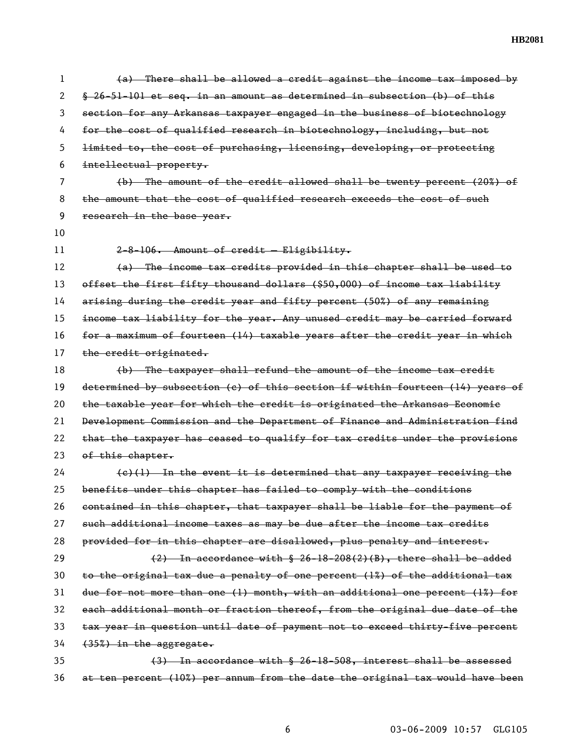| 1  | (a) There shall be allowed a credit against the income tax imposed by         |
|----|-------------------------------------------------------------------------------|
| 2  | § 26-51-101 et seq. in an amount as determined in subsection (b) of this      |
| 3  | section for any Arkansas taxpayer engaged in the business of biotechnology    |
| 4  | for the cost of qualified research in biotechnology, including, but not       |
| 5  | limited to, the cost of purchasing, licensing, developing, or protecting      |
| 6  | intellectual property.                                                        |
| 7  | $(b)$ The amount of the credit allowed shall be twenty percent $(20\%)$ of    |
| 8  | the amount that the cost of qualified research exceeds the cost of such       |
| 9  | research in the base year.                                                    |
| 10 |                                                                               |
| 11 | 2-8-106. Amount of credit - Eligibility.                                      |
| 12 | (a) The income tax credits provided in this chapter shall be used to          |
| 13 | offset the first fifty thousand dollars (\$50,000) of income tax liability    |
| 14 | arising during the credit year and fifty percent (50%) of any remaining       |
| 15 | income tax liability for the year. Any unused credit may be carried forward   |
| 16 | for a maximum of fourteen (14) taxable years after the credit year in which   |
| 17 | the credit originated.                                                        |
| 18 | (b) The taxpayer shall refund the amount of the income tax credit             |
| 19 | determined by subsection (c) of this section if within fourteen (14) years of |
| 20 | the taxable year for which the credit is originated the Arkansas Economic     |
| 21 | Development Commission and the Department of Finance and Administration find  |
| 22 | that the taxpayer has ceased to qualify for tax credits under the provisions  |
| 23 | of this chapter.                                                              |
| 24 | $(e)(1)$ In the event it is determined that any taxpayer receiving the        |
| 25 | benefits under this chapter has failed to comply with the conditions          |
| 26 | contained in this chapter, that taxpayer shall be liable for the payment of   |
| 27 | such additional income taxes as may be due after the income tax credits       |
| 28 | provided for in this chapter are disallowed, plus penalty and interest.       |
| 29 | $(2)$ In accordance with § 26-18-208(2)(B), there shall be added              |
| 30 | to the original tax due a penalty of one percent (1%) of the additional tax   |
| 31 | due for not more than one (1) month, with an additional one percent (1%) for  |
| 32 | each additional month or fraction thereof, from the original due date of the  |
| 33 | tax year in question until date of payment not to exceed thirty-five percent  |
| 34 | (35%) in the aggregate.                                                       |
| 35 | (3) In accordance with § 26-18-508, interest shall be assessed                |
| 36 | at ten percent (10%) per annum from the date the original tax would have been |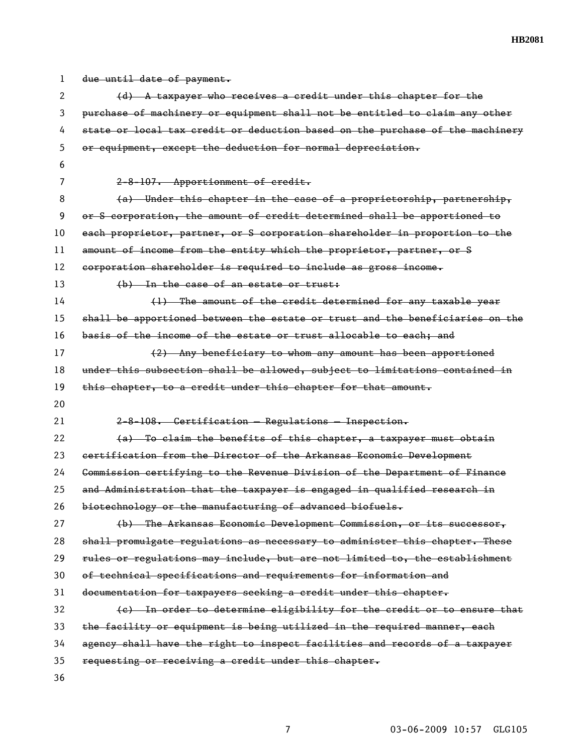| 1  | due until date of payment.                                                    |
|----|-------------------------------------------------------------------------------|
| 2  | $(d)$ A taxpayer who receives a credit under this chapter for the             |
| 3  | purchase of machinery or equipment shall not be entitled to claim any other   |
| 4  | state or local tax credit or deduction based on the purchase of the machinery |
| 5  | or equipment, except the deduction for normal depreciation.                   |
| 6  |                                                                               |
| 7  | 2-8-107. Apportionment of credit.                                             |
| 8  | (a) Under this chapter in the case of a proprietorship, partnership,          |
| 9  | or S corporation, the amount of credit determined shall be apportioned to     |
| 10 | each proprietor, partner, or S corporation shareholder in proportion to the   |
| 11 | amount of income from the entity which the proprietor, partner, or S          |
| 12 | corporation shareholder is required to include as gross income.               |
| 13 | (b) In the case of an estate or trust:                                        |
| 14 | (1) The amount of the credit determined for any taxable year                  |
| 15 | shall be apportioned between the estate or trust and the beneficiaries on the |
| 16 | basis of the income of the estate or trust allocable to each; and             |
| 17 | (2) Any beneficiary to whom any amount has been apportioned                   |
| 18 | under this subsection shall be allowed, subject to limitations contained in   |
|    |                                                                               |
| 19 | this chapter, to a credit under this chapter for that amount.                 |
| 20 |                                                                               |
| 21 | 2-8-108. Certification - Regulations - Inspection.                            |
| 22 | (a) To claim the benefits of this chapter, a taxpayer must obtain             |
| 23 | certification from the Director of the Arkansas Economic Development          |
| 24 | Commission certifying to the Revenue Division of the Department of Finance    |
| 25 | and Administration that the taxpayer is engaged in qualified research in      |
| 26 | biotechnology or the manufacturing of advanced biofuels.                      |
| 27 | (b) The Arkansas Economic Development Commission, or its successor,           |
| 28 | shall promulgate regulations as necessary to administer this chapter. These   |
| 29 | rules or regulations may include, but are not limited to, the establishment   |
| 30 | of technical specifications and requirements for information and              |
| 31 | documentation for taxpayers seeking a credit under this chapter.              |
| 32 | (e) In order to determine eligibility for the credit or to ensure that        |
| 33 | the facility or equipment is being utilized in the required manner, each      |
| 34 | agency shall have the right to inspect facilities and records of a taxpayer   |
| 35 | requesting or receiving a credit under this chapter.                          |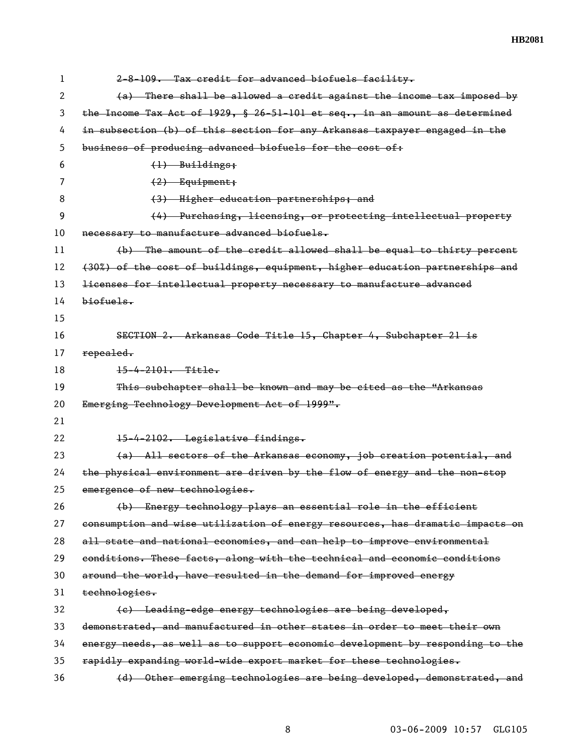| 1  | 2-8-109. Tax credit for advanced biofuels facility.                           |
|----|-------------------------------------------------------------------------------|
| 2  | (a) There shall be allowed a credit against the income tax imposed by         |
| 3  | the Income Tax Act of 1929, § 26-51-101 et seq., in an amount as determined   |
| 4  | in subsection (b) of this section for any Arkansas taxpayer engaged in the    |
| 5  | business of producing advanced biofuels for the cost of:                      |
| 6  | $(1)$ Buildings;                                                              |
| 7  | $(2)$ Equipment;                                                              |
| 8  | (3) Higher education partnerships; and                                        |
| 9  | (4) Purchasing, licensing, or protecting intellectual property                |
| 10 | necessary to manufacture advanced biofuels.                                   |
| 11 | (b) The amount of the credit allowed shall be equal to thirty percent         |
| 12 | (30%) of the cost of buildings, equipment, higher education partnerships and  |
| 13 | licenses for intellectual property necessary to manufacture advanced          |
| 14 | biof <sub>ue</sub>                                                            |
| 15 |                                                                               |
| 16 | SEGTION 2. Arkansas Gode Title 15, Chapter 4, Subchapter 21 is                |
| 17 | repealed.                                                                     |
| 18 | $15 - 4 - 2101 -$ Title.                                                      |
| 19 | This subchapter shall be known and may be cited as the "Arkansas              |
| 20 | Emerging Technology Development Act of 1999".                                 |
| 21 |                                                                               |
| 22 | 15-4-2102. Legislative findings.                                              |
| 23 | (a) All sectors of the Arkansas economy, job creation potential, and          |
| 24 | the physical environment are driven by the flow of energy and the non-stop    |
| 25 | emergence of new technologies.                                                |
| 26 | (b) Energy technology plays an essential role in the efficient                |
| 27 | consumption and wise utilization of energy resources, has dramatic impacts on |
| 28 | all state and national economies, and can help to improve environmental       |
| 29 | conditions. These facts, along with the technical and economic conditions     |
| 30 | around the world, have resulted in the demand for improved energy             |
| 31 | technologies.                                                                 |
| 32 | (c) Leading-edge energy technologies are being developed,                     |
| 33 | demonstrated, and manufactured in other states in order to meet their own     |
| 34 | energy needs, as well as to support economic development by responding to the |
| 35 | rapidly expanding world-wide export market for these technologies.            |
| 36 | (d) Other emerging technologies are being developed, demonstrated, and        |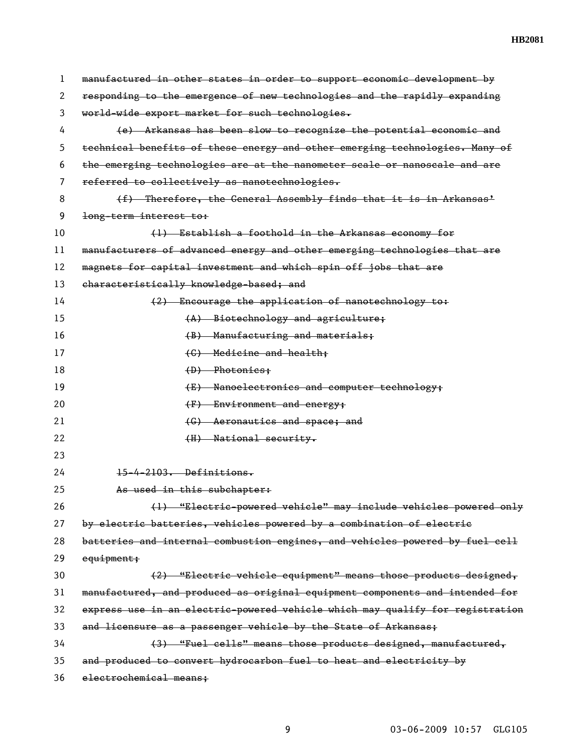| 1  | manufactured in other states in order to support economic development by      |
|----|-------------------------------------------------------------------------------|
| 2  | responding to the emergence of new technologies and the rapidly expanding     |
| 3  | world-wide export market for such technologies.                               |
| 4  | (e) Arkansas has been slow to recognize the potential economic and            |
| 5  | technical benefits of these energy and other emerging technologies. Many of   |
| 6  | the emerging technologies are at the nanometer scale or nanoscale and are     |
| 7  | referred to collectively as nanotechnologies.                                 |
| 8  | (f) Therefore, the General Assembly finds that it is in Arkansas'             |
| 9  | long-term interest to:                                                        |
| 10 | (1) Establish a foothold in the Arkansas economy for                          |
| 11 | manufacturers of advanced energy and other emerging technologies that are     |
| 12 | magnets for capital investment and which spin off jobs that are               |
| 13 | characteristically knowledge-based; and                                       |
| 14 | (2) Encourage the application of nanotechnology to:                           |
| 15 | (A) Biotechnology and agriculture;                                            |
| 16 | (B) Manufacturing and materials;                                              |
| 17 | (C) Medicine and health;                                                      |
| 18 | $(D)$ Photonics:                                                              |
| 19 | (E) Nanoelectronics and computer technology;                                  |
| 20 | $(F)$ Environment and energy;                                                 |
| 21 | (G) Aeronautics and space; and                                                |
| 22 | (H) National security.                                                        |
| 23 |                                                                               |
| 24 | 15-4-2103. Definitions.                                                       |
| 25 | As used in this subchapter:                                                   |
| 26 | (1) "Electric-powered vehicle" may include vehicles powered only              |
| 27 | by electric batteries, vehicles powered by a combination of electric          |
| 28 | batteries and internal combustion engines, and vehicles powered by fuel cell  |
| 29 | equipment;                                                                    |
| 30 | (2) "Electric vehicle equipment" means those products designed,               |
| 31 | manufactured, and produced as original equipment components and intended for  |
| 32 | express use in an electric-powered vehicle which may qualify for registration |
| 33 | and licensure as a passenger vehicle by the State of Arkansas;                |
| 34 | (3) "Fuel cells" means those products designed, manufactured,                 |
| 35 | and produced to convert hydrocarbon fuel to heat and electricity by           |
| 36 | electrochemical means;                                                        |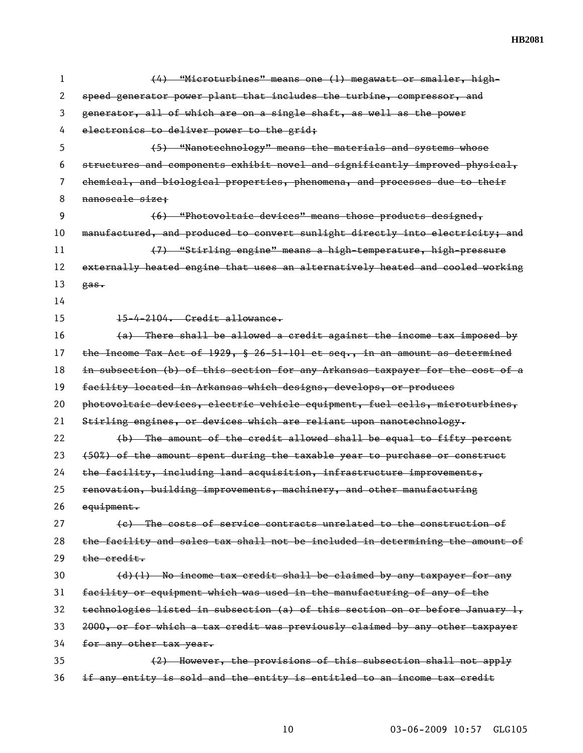| 1  | (4) "Microturbines" means one (1) megawatt or smaller, high-                   |
|----|--------------------------------------------------------------------------------|
| 2  | speed generator power plant that includes the turbine, compressor, and         |
| 3  | generator, all of which are on a single shaft, as well as the power            |
| 4  | electronics to deliver power to the grid;                                      |
| 5  | (5) "Nanotechnology" means the materials and systems whose                     |
| 6  | structures and components exhibit novel and significantly improved physical,   |
| 7  | chemical, and biological properties, phenomena, and processes due to their     |
| 8  | nanoscale size;                                                                |
| 9  | (6) "Photovoltaic devices" means those products designed,                      |
| 10 | manufactured, and produced to convert sunlight directly into electricity; and  |
| 11 | (7) "Stirling engine" means a high-temperature, high-pressure                  |
| 12 | externally heated engine that uses an alternatively heated and cooled working  |
| 13 | gas.                                                                           |
| 14 |                                                                                |
| 15 | 15-4-2104. Gredit allowance.                                                   |
| 16 | (a) There shall be allowed a credit against the income tax imposed by          |
| 17 | the Income Tax Act of 1929, $\S$ 26-51-101 et seq., in an amount as determined |
| 18 | in subsection (b) of this section for any Arkansas taxpayer for the cost of a  |
| 19 | facility located in Arkansas which designs, develops, or produces              |
| 20 | photovoltaic devices, electric vehicle equipment, fuel cells, microturbines,   |
| 21 | Stirling engines, or devices which are reliant upon nanotechnology.            |
| 22 | (b) The amount of the credit allowed shall be equal to fifty percent           |
| 23 | (50%) of the amount spent during the taxable year to purchase or construct     |
| 24 | the facility, including land acquisition, infrastructure improvements,         |
| 25 | renovation, building improvements, machinery, and other manufacturing          |
| 26 | equipment.                                                                     |
| 27 | (e) The costs of service contracts unrelated to the construction of            |
| 28 | the facility and sales tax shall not be included in determining the amount of  |
| 29 | the credit.                                                                    |
| 30 | $(d)$ (1) No income tax credit shall be claimed by any taxpayer for any        |
| 31 | facility or equipment which was used in the manufacturing of any of the        |
| 32 | technologies listed in subsection (a) of this section on or before January 1,  |
| 33 | 2000, or for which a tax credit was previously claimed by any other taxpayer   |
| 34 | for any other tax year.                                                        |
| 35 | (2) However, the provisions of this subsection shall not apply                 |
| 36 | if any entity is sold and the entity is entitled to an income tax credit       |

10 03-06-2009 10:57 GLG105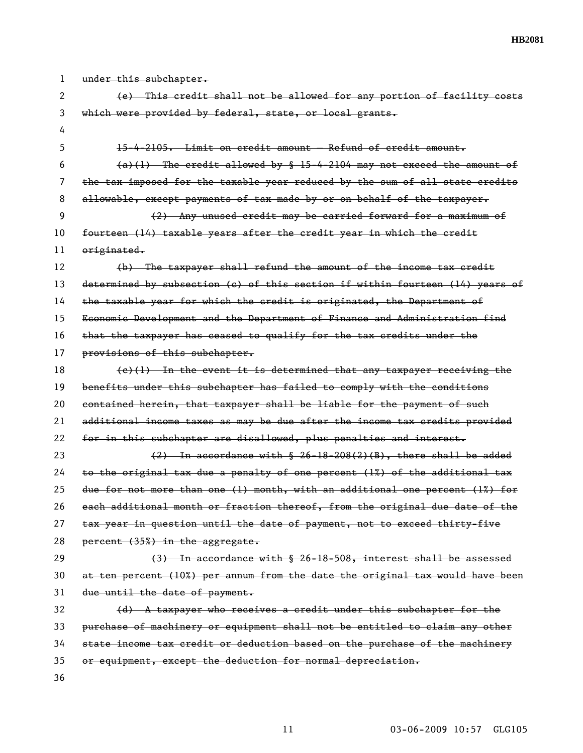| 1  | under this subchapter.                                                        |
|----|-------------------------------------------------------------------------------|
| 2  | (e) This credit shall not be allowed for any portion of facility costs        |
| 3  | which were provided by federal, state, or local grants.                       |
| 4  |                                                                               |
| 5  | 15-4-2105. Limit on credit amount - Refund of credit amount.                  |
| 6  | $(a)(1)$ The credit allowed by § 15-4-2104 may not exceed the amount of       |
| 7  | the tax imposed for the taxable year reduced by the sum of all state credits  |
| 8  | allowable, except payments of tax made by or on behalf of the taxpayer.       |
| 9  | (2) Any unused credit may be carried forward for a maximum of                 |
| 10 | fourteen (14) taxable years after the credit year in which the credit         |
| 11 | originated.                                                                   |
| 12 | (b) The taxpayer shall refund the amount of the income tax credit             |
| 13 | determined by subsection (c) of this section if within fourteen (14) years of |
| 14 | the taxable year for which the credit is originated, the Department of        |
| 15 | Economic Development and the Department of Finance and Administration find    |
| 16 | that the taxpayer has ceased to qualify for the tax credits under the         |
| 17 | provisions of this subchapter.                                                |
| 18 | $(e)(1)$ In the event it is determined that any taxpayer receiving the        |
| 19 | benefits under this subchapter has failed to comply with the conditions       |
| 20 | contained herein, that taxpayer shall be liable for the payment of such       |
| 21 | additional income taxes as may be due after the income tax credits provided   |
| 22 | for in this subchapter are disallowed, plus penalties and interest.           |
| 23 | $(2)$ In accordance with $\frac{6}{5}$ 26-18-208(2)(B), there shall be added  |
| 24 | to the original tax due a penalty of one percent (1%) of the additional tax   |
| 25 | due for not more than one (1) month, with an additional one percent (1%) for  |
| 26 | each additional month or fraction thereof, from the original due date of the  |
| 27 | tax year in question until the date of payment, not to exceed thirty-five     |
| 28 | percent (35%) in the aggregate.                                               |
| 29 | (3) In accordance with § 26-18-508, interest shall be assessed                |
| 30 | at ten percent (10%) per annum from the date the original tax would have been |
| 31 | due until the date of payment.                                                |
| 32 | $(d)$ A taxpayer who receives a credit under this subchapter for the          |
| 33 | purchase of machinery or equipment shall not be entitled to claim any other   |
| 34 | state income tax credit or deduction based on the purchase of the machinery   |
| 35 | or equipment, except the deduction for normal depreciation.                   |
| 36 |                                                                               |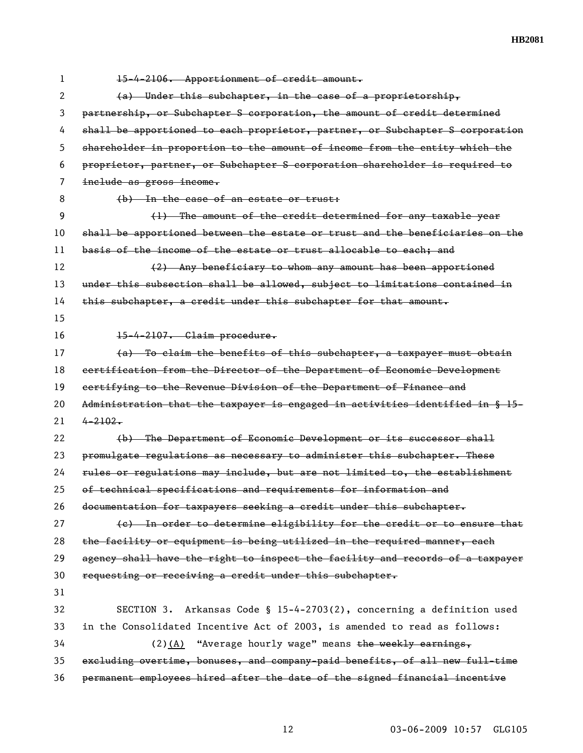| 1  | 15-4-2106. Apportionment of credit amount.                                    |
|----|-------------------------------------------------------------------------------|
| 2  | $(a)$ Under this subchapter, in the case of a proprietorship,                 |
| 3  | partnership, or Subchapter S corporation, the amount of credit determined     |
| 4  | shall be apportioned to each proprietor, partner, or Subchapter S corporation |
| 5  | shareholder in proportion to the amount of income from the entity which the   |
| 6  | proprietor, partner, or Subchapter S corporation shareholder is required to   |
| 7  | include as gross income.                                                      |
| 8  | (b) In the case of an estate or trust:                                        |
| 9  | (1) The amount of the credit determined for any taxable year                  |
| 10 | shall be apportioned between the estate or trust and the beneficiaries on the |
| 11 | basis of the income of the estate or trust allocable to each; and             |
| 12 | (2) Any beneficiary to whom any amount has been apportioned                   |
| 13 | under this subsection shall be allowed, subject to limitations contained in   |
| 14 | this subchapter, a credit under this subchapter for that amount.              |
| 15 |                                                                               |
| 16 | 15-4-2107. Claim procedure.                                                   |
| 17 | (a) To claim the benefits of this subchapter, a taxpayer must obtain          |
| 18 | certification from the Director of the Department of Economic Development     |
| 19 | certifying to the Revenue Division of the Department of Finance and           |
| 20 | Administration that the taxpayer is engaged in activities identified in § 15- |
| 21 | $4 - 2102$                                                                    |
| 22 | (b) The Department of Economic Development or its successor shall             |
| 23 | promulgate regulations as necessary to administer this subchapter. These      |
| 24 | rules or regulations may include, but are not limited to, the establishment   |
| 25 | of technical specifications and requirements for information and              |
| 26 | documentation for taxpayers seeking a credit under this subchapter.           |
| 27 | (e) In order to determine eligibility for the credit or to ensure that        |
| 28 | the facility or equipment is being utilized in the required manner, each      |
| 29 | agency shall have the right to inspect the facility and records of a taxpayer |
| 30 | requesting or receiving a credit under this subchapter.                       |
| 31 |                                                                               |
| 32 | Arkansas Code § $15-4-2703(2)$ , concerning a definition used<br>SECTION 3.   |
| 33 | in the Consolidated Incentive Act of 2003, is amended to read as follows:     |
| 34 | $(2)(A)$ "Average hourly wage" means the weekly earnings,                     |
| 35 | excluding overtime, bonuses, and company-paid benefits, of all new full-time  |
| 36 | permanent employees hired after the date of the signed financial incentive    |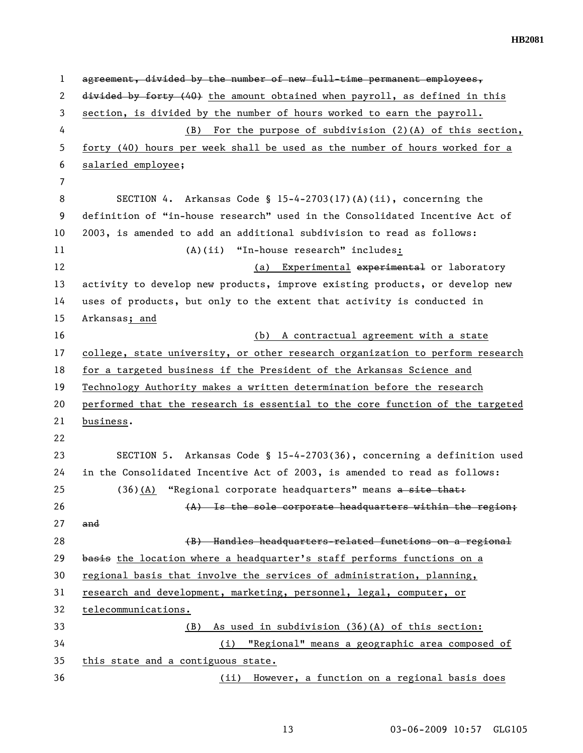1 agreement, divided by the number of new full-time permanent employees, 2 divided by forty (40) the amount obtained when payroll, as defined in this 3 section, is divided by the number of hours worked to earn the payroll. 4 (B) For the purpose of subdivision (2)(A) of this section, 5 forty (40) hours per week shall be used as the number of hours worked for a 6 salaried employee; 7 8 SECTION 4. Arkansas Code § 15-4-2703(17)(A)(ii), concerning the 9 definition of "in-house research" used in the Consolidated Incentive Act of 10 2003, is amended to add an additional subdivision to read as follows: 11 (A)(ii) "In-house research" includes: 12 (a) Experimental experimental or laboratory 13 activity to develop new products, improve existing products, or develop new 14 uses of products, but only to the extent that activity is conducted in 15 Arkansas; and 16 (b) A contractual agreement with a state 17 college, state university, or other research organization to perform research 18 for a targeted business if the President of the Arkansas Science and 19 Technology Authority makes a written determination before the research 20 performed that the research is essential to the core function of the targeted 21 business. 22 23 SECTION 5. Arkansas Code § 15-4-2703(36), concerning a definition used 24 in the Consolidated Incentive Act of 2003, is amended to read as follows: 25 (36)(A) "Regional corporate headquarters" means a site that:  $(4)$  Is the sole corporate headquarters within the region; 27 and 28 (B) Handles headquarters-related functions on a regional 29 basis the location where a headquarter's staff performs functions on a 30 regional basis that involve the services of administration, planning, 31 research and development, marketing, personnel, legal, computer, or 32 telecommunications. 33 (B) As used in subdivision (36)(A) of this section: 34 (i) "Regional" means a geographic area composed of 35 this state and a contiguous state. 36 (ii) However, a function on a regional basis does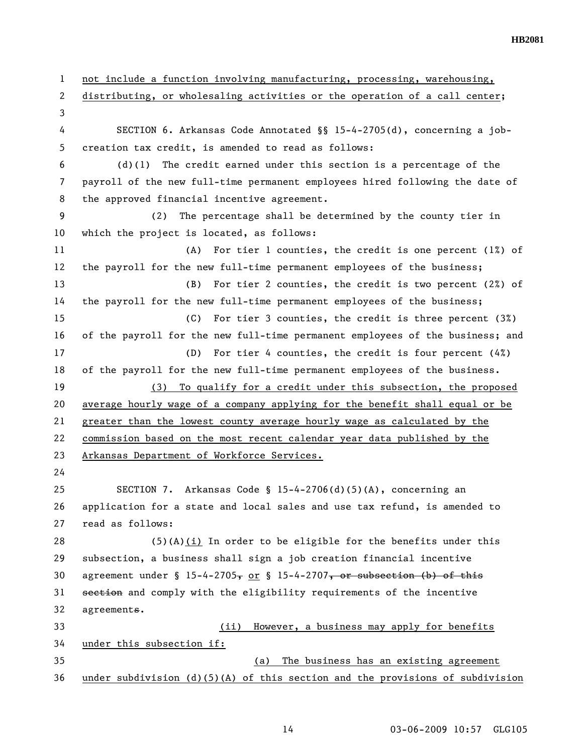1 not include a function involving manufacturing, processing, warehousing, 2 distributing, or wholesaling activities or the operation of a call center; 3 4 SECTION 6. Arkansas Code Annotated §§ 15-4-2705(d), concerning a job-5 creation tax credit, is amended to read as follows:  $6$  (d)(1) The credit earned under this section is a percentage of the 7 payroll of the new full-time permanent employees hired following the date of 8 the approved financial incentive agreement. 9 (2) The percentage shall be determined by the county tier in 10 which the project is located, as follows: 11 (A) For tier 1 counties, the credit is one percent (1%) of 12 the payroll for the new full-time permanent employees of the business; 13 (B) For tier 2 counties, the credit is two percent (2%) of 14 the payroll for the new full-time permanent employees of the business; 15 (C) For tier 3 counties, the credit is three percent (3%) 16 of the payroll for the new full-time permanent employees of the business; and 17 (D) For tier 4 counties, the credit is four percent (4%) 18 of the payroll for the new full-time permanent employees of the business. 19 (3) To qualify for a credit under this subsection, the proposed 20 average hourly wage of a company applying for the benefit shall equal or be 21 greater than the lowest county average hourly wage as calculated by the 22 commission based on the most recent calendar year data published by the 23 Arkansas Department of Workforce Services. 24 25 SECTION 7. Arkansas Code § 15-4-2706(d)(5)(A), concerning an 26 application for a state and local sales and use tax refund, is amended to 27 read as follows: 28 (5)(A)(i) In order to be eligible for the benefits under this 29 subsection, a business shall sign a job creation financial incentive 30 agreement under §  $15-4-2705$ , or § 15-4-2707, or subsection (b) of this 31 section and comply with the eligibility requirements of the incentive 32 agreements. 33 (ii) However, a business may apply for benefits 34 under this subsection if: 35 (a) The business has an existing agreement 36 under subdivision (d)(5)(A) of this section and the provisions of subdivision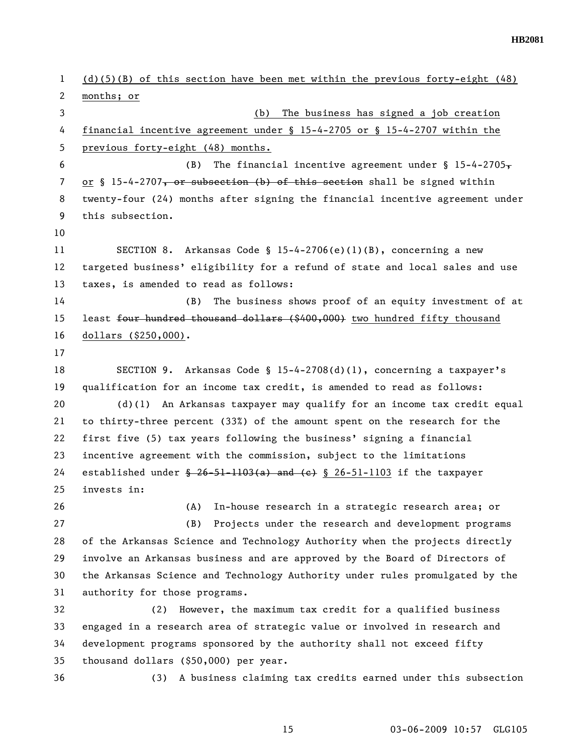1 (d)(5)(B) of this section have been met within the previous forty-eight (48) 2 months; or 3 (b) The business has signed a job creation 4 financial incentive agreement under § 15-4-2705 or § 15-4-2707 within the 5 previous forty-eight (48) months. 6 (B) The financial incentive agreement under  $\int$  15-4-2705, 7 or § 15-4-2707, or subsection (b) of this section shall be signed within 8 twenty-four (24) months after signing the financial incentive agreement under 9 this subsection. 10 11 SECTION 8. Arkansas Code § 15-4-2706(e)(1)(B), concerning a new 12 targeted business' eligibility for a refund of state and local sales and use 13 taxes, is amended to read as follows: 14 (B) The business shows proof of an equity investment of at 15 least four hundred thousand dollars (\$400,000) two hundred fifty thousand 16 dollars (\$250,000). 17 18 SECTION 9. Arkansas Code § 15-4-2708(d)(1), concerning a taxpayer's 19 qualification for an income tax credit, is amended to read as follows: 20 (d)(1) An Arkansas taxpayer may qualify for an income tax credit equal 21 to thirty-three percent (33%) of the amount spent on the research for the 22 first five (5) tax years following the business' signing a financial 23 incentive agreement with the commission, subject to the limitations 24 established under  $\frac{26-51-1103(a)}{a}$  and  $\left(\frac{e}{c}\right)$  § 26-51-1103 if the taxpayer 25 invests in: 26 (A) In-house research in a strategic research area; or 27 (B) Projects under the research and development programs 28 of the Arkansas Science and Technology Authority when the projects directly 29 involve an Arkansas business and are approved by the Board of Directors of 30 the Arkansas Science and Technology Authority under rules promulgated by the 31 authority for those programs. 32 (2) However, the maximum tax credit for a qualified business 33 engaged in a research area of strategic value or involved in research and 34 development programs sponsored by the authority shall not exceed fifty 35 thousand dollars (\$50,000) per year. 36 (3) A business claiming tax credits earned under this subsection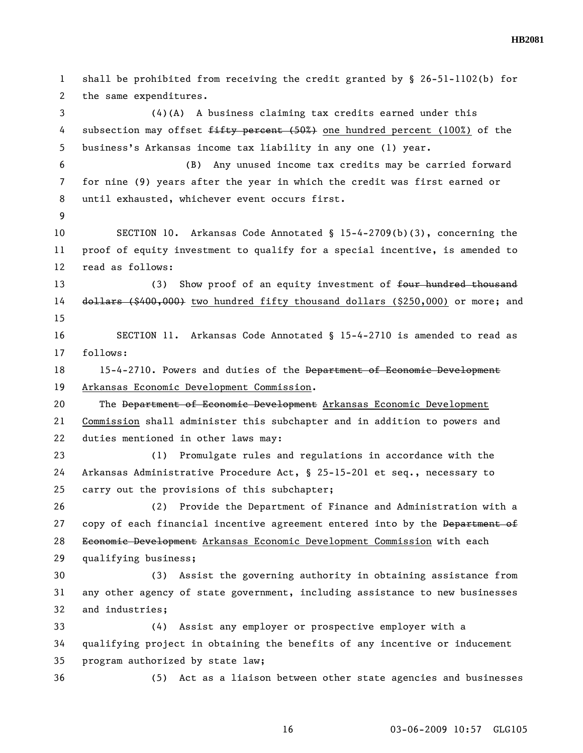1 shall be prohibited from receiving the credit granted by § 26-51-1102(b) for 2 the same expenditures. 3 (4)(A) A business claiming tax credits earned under this 4 subsection may offset  $f$ ifty percent (50%) one hundred percent (100%) of the 5 business's Arkansas income tax liability in any one (1) year. 6 (B) Any unused income tax credits may be carried forward 7 for nine (9) years after the year in which the credit was first earned or 8 until exhausted, whichever event occurs first. 9 10 SECTION 10. Arkansas Code Annotated § 15-4-2709(b)(3), concerning the 11 proof of equity investment to qualify for a special incentive, is amended to 12 read as follows: 13 (3) Show proof of an equity investment of <del>four hundred thousand</del> 14 dollars (\$400,000) two hundred fifty thousand dollars (\$250,000) or more; and 15 16 SECTION 11. Arkansas Code Annotated § 15-4-2710 is amended to read as 17 follows: 18 15-4-2710. Powers and duties of the Department of Economic Development 19 Arkansas Economic Development Commission. 20 The Department of Economic Development Arkansas Economic Development 21 Commission shall administer this subchapter and in addition to powers and 22 duties mentioned in other laws may: 23 (1) Promulgate rules and regulations in accordance with the 24 Arkansas Administrative Procedure Act, § 25-15-201 et seq., necessary to 25 carry out the provisions of this subchapter; 26 (2) Provide the Department of Finance and Administration with a 27 copy of each financial incentive agreement entered into by the Department of 28 Economic Development Arkansas Economic Development Commission with each 29 qualifying business; 30 (3) Assist the governing authority in obtaining assistance from 31 any other agency of state government, including assistance to new businesses 32 and industries; 33 (4) Assist any employer or prospective employer with a 34 qualifying project in obtaining the benefits of any incentive or inducement 35 program authorized by state law; 36 (5) Act as a liaison between other state agencies and businesses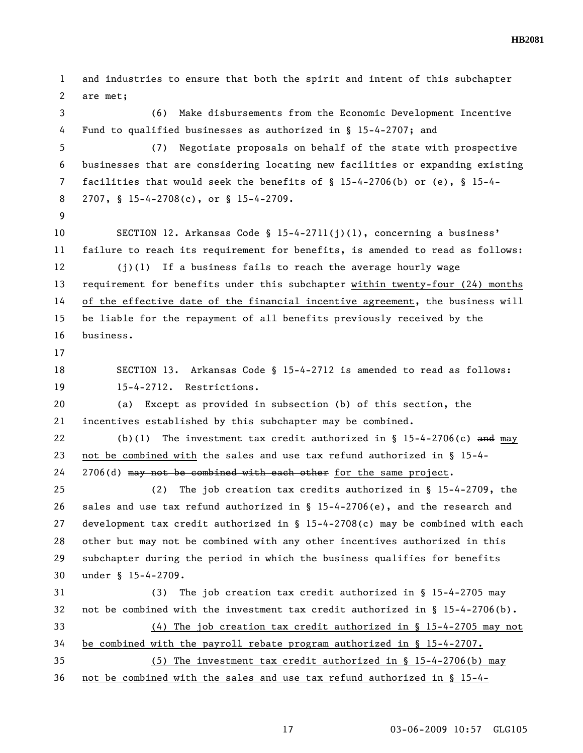1 and industries to ensure that both the spirit and intent of this subchapter 2 are met; 3 (6) Make disbursements from the Economic Development Incentive 4 Fund to qualified businesses as authorized in § 15-4-2707; and 5 (7) Negotiate proposals on behalf of the state with prospective 6 businesses that are considering locating new facilities or expanding existing 7 facilities that would seek the benefits of § 15-4-2706(b) or (e), § 15-4- 8 2707, § 15-4-2708(c), or § 15-4-2709. 9 10 SECTION 12. Arkansas Code § 15-4-2711(j)(1), concerning a business' 11 failure to reach its requirement for benefits, is amended to read as follows: 12 (j)(1) If a business fails to reach the average hourly wage 13 requirement for benefits under this subchapter within twenty-four (24) months 14 of the effective date of the financial incentive agreement, the business will 15 be liable for the repayment of all benefits previously received by the 16 business. 17 18 SECTION 13. Arkansas Code § 15-4-2712 is amended to read as follows: 19 15-4-2712. Restrictions. 20 (a) Except as provided in subsection (b) of this section, the 21 incentives established by this subchapter may be combined. 22 (b)(1) The investment tax credit authorized in § 15-4-2706(c) and may 23 not be combined with the sales and use tax refund authorized in § 15-4- 24 2706(d) may not be combined with each other for the same project. 25 (2) The job creation tax credits authorized in § 15-4-2709, the 26 sales and use tax refund authorized in § 15-4-2706(e), and the research and 27 development tax credit authorized in § 15-4-2708(c) may be combined with each 28 other but may not be combined with any other incentives authorized in this 29 subchapter during the period in which the business qualifies for benefits 30 under § 15-4-2709. 31 (3) The job creation tax credit authorized in § 15-4-2705 may 32 not be combined with the investment tax credit authorized in § 15-4-2706(b). 33 (4) The job creation tax credit authorized in § 15-4-2705 may not 34 be combined with the payroll rebate program authorized in § 15-4-2707. 35 (5) The investment tax credit authorized in § 15-4-2706(b) may 36 not be combined with the sales and use tax refund authorized in § 15-4-